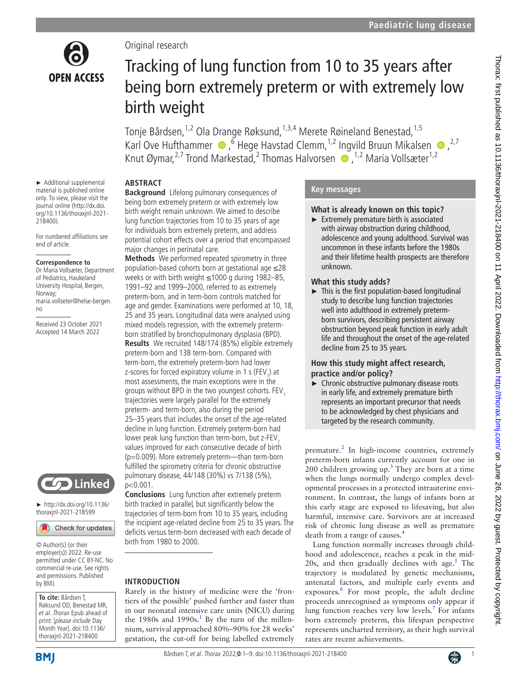

► Additional supplemental material is published online only. To view, please visit the journal online ([http://dx.doi.](http://dx.doi.org/10.1136/thoraxjnl-2021-218400) [org/10.1136/thoraxjnl-2021-](http://dx.doi.org/10.1136/thoraxjnl-2021-218400)

For numbered affiliations see

maria.vollseter@helse-bergen.

Received 23 October 2021 Accepted 14 March 2022

**Correspondence to** Dr Maria Vollsæter, Department of Pediatrics, Haukeland University Hospital, Bergen,

[218400](http://dx.doi.org/10.1136/thoraxjnl-2021-218400)).

Norway;

no

end of article.

Original research

# Tracking of lung function from 10 to 35 years after being born extremely preterm or with extremely low birth weight

Tonje Bårdsen,<sup>1,2</sup> Ola Drange Røksund,<sup>1,3,4</sup> Merete Røineland Benestad,<sup>1,5</sup> KarlOve Hufthammer  $\bullet$ , <sup>6</sup> Hege Havstad Clemm, <sup>1,2</sup> Ingvild Bruun Mikalsen  $\bullet$ , <sup>2,7</sup> KnutØymar,<sup>2,7</sup> Trond Markestad,<sup>2</sup> Thomas Halvorsen (D, <sup>1,2</sup> Maria Vollsæter<sup>1,2</sup>

# **ABSTRACT**

**Background** Lifelong pulmonary consequences of being born extremely preterm or with extremely low birth weight remain unknown. We aimed to describe lung function trajectories from 10 to 35 years of age for individuals born extremely preterm, and address potential cohort effects over a period that encompassed major changes in perinatal care.

**Methods** We performed repeated spirometry in three population-based cohorts born at gestational age ≤28 weeks or with birth weight ≤1000 g during 1982–85, 1991–92 and 1999–2000, referred to as extremely preterm-born, and in term-born controls matched for age and gender. Examinations were performed at 10, 18, 25 and 35 years. Longitudinal data were analysed using mixed models regression, with the extremely pretermborn stratified by bronchopulmonary dysplasia (BPD). **Results** We recruited 148/174 (85%) eligible extremely preterm-born and 138 term-born. Compared with term-born, the extremely preterm-born had lower z-scores for forced expiratory volume in 1 s (FEV<sub>1</sub>) at most assessments, the main exceptions were in the groups without BPD in the two youngest cohorts. FEV, trajectories were largely parallel for the extremely preterm- and term-born, also during the period 25–35 years that includes the onset of the age-related decline in lung function. Extremely preterm-born had lower peak lung function than term-born, but z-FEV. values improved for each consecutive decade of birth (p=0.009). More extremely preterm—than term-born fulfilled the spirometry criteria for chronic obstructive pulmonary disease, 44/148 (30%) vs 7/138 (5%), p<0.001.

**Conclusions** Lung function after extremely preterm birth tracked in parallel, but significantly below the trajectories of term-born from 10 to 35 years, including the incipient age-related decline from 25 to 35 years. The deficits versus term-born decreased with each decade of birth from 1980 to 2000.

# **INTRODUCTION**

Rarely in the history of medicine were the 'frontiers of the possible' pushed further and faster than in our neonatal intensive care units (NICU) during the [1](#page-8-0)980s and 1990s.<sup>1</sup> By the turn of the millennium, survival approached 80%–90% for 28 weeks' gestation, the cut-off for being labelled extremely

# **Key messages**

## **What is already known on this topic?**

► Extremely premature birth is associated with airway obstruction during childhood, adolescence and young adulthood. Survival was uncommon in these infants before the 1980s and their lifetime health prospects are therefore unknown.

## **What this study adds?**

 $\blacktriangleright$  This is the first population-based longitudinal study to describe lung function trajectories well into adulthood in extremely pretermborn survivors, describing persistent airway obstruction beyond peak function in early adult life and throughout the onset of the age-related decline from 25 to 35 years.

# **How this study might affect research, practice and/or policy?**

► Chronic obstructive pulmonary disease roots in early life, and extremely premature birth represents an important precursor that needs to be acknowledged by chest physicians and targeted by the research community.

premature.<sup>[2](#page-8-1)</sup> In high-income countries, extremely preterm-born infants currently account for one in 200 children growing up. $3$  They are born at a time when the lungs normally undergo complex developmental processes in a protected intrauterine environment. In contrast, the lungs of infants born at this early stage are exposed to lifesaving, but also harmful, intensive care. Survivors are at increased risk of chronic lung disease as well as premature death from a range of causes.<sup>[4](#page-8-3)</sup>

Lung function normally increases through childhood and adolescence, reaches a peak in the mid-20s, and then gradually declines with age.<sup>[5](#page-8-4)</sup> The trajectory is modulated by genetic mechanisms, antenatal factors, and multiple early events and exposures.[6](#page-8-5) For most people, the adult decline proceeds unrecognised as symptoms only appear if lung function reaches very low levels.<sup>7</sup> For infants born extremely preterm, this lifespan perspective represents uncharted territory, as their high survival rates are recent achievements.

# Linked

► [http://dx.doi.org/10.1136/](http://​dx.​doi.​org/​10.​1136/thoraxjnl-2021-218599) [thoraxjnl-2021-218599](http://​dx.​doi.​org/​10.​1136/thoraxjnl-2021-218599)

Check for updates

© Author(s) (or their employer(s)) 2022. Re-use permitted under CC BY-NC. No commercial re-use. See rights and permissions. Published by BMJ.

**To cite:** Bårdsen T, Røksund OD, Benestad MR, et al. Thorax Epub ahead of print: [please include Day Month Year]. doi:10.1136/ thoraxjnl-2021-218400



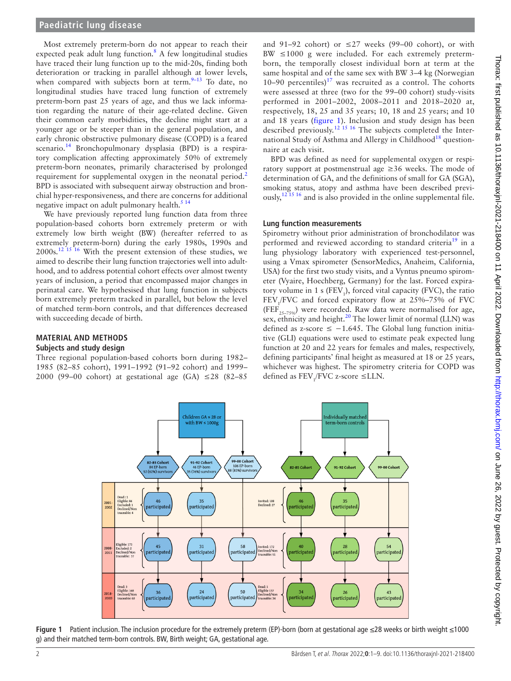#### **Paediatric lung disease**

Most extremely preterm-born do not appear to reach their expected peak adult lung function.<sup>8</sup> A few longitudinal studies have traced their lung function up to the mid-20s, finding both deterioration or tracking in parallel although at lower levels, when compared with subjects born at term.<sup>9–13</sup> To date, no longitudinal studies have traced lung function of extremely preterm-born past 25 years of age, and thus we lack information regarding the nature of their age-related decline. Given their common early morbidities, the decline might start at a younger age or be steeper than in the general population, and early chronic obstructive pulmonary disease (COPD) is a feared scenario.<sup>14</sup> Bronchopulmonary dysplasia (BPD) is a respiratory complication affecting approximately 50% of extremely preterm-born neonates, primarily characterised by prolonged requirement for supplemental oxygen in the neonatal period.<sup>2</sup> BPD is associated with subsequent airway obstruction and bronchial hyper-responsiveness, and there are concerns for additional negative impact on adult pulmonary health. $5<sup>14</sup>$ 

We have previously reported lung function data from three population-based cohorts born extremely preterm or with extremely low birth weight (BW) (hereafter referred to as extremely preterm-born) during the early 1980s, 1990s and  $2000s$ <sup>12 15</sup> <sup>16</sup> With the present extension of these studies, we aimed to describe their lung function trajectories well into adulthood, and to address potential cohort effects over almost twenty years of inclusion, a period that encompassed major changes in perinatal care. We hypothesised that lung function in subjects born extremely preterm tracked in parallel, but below the level of matched term-born controls, and that differences decreased with succeeding decade of birth.

## **MATERIAL AND METHODS**

## **Subjects and study design**

Three regional population-based cohorts born during 1982– 1985 (82–85 cohort), 1991–1992 (91–92 cohort) and 1999– 2000 (99–00 cohort) at gestational age (GA)  $\leq$ 28 (82–85

and 91–92 cohort) or  $\leq$  27 weeks (99–00 cohort), or with  $BW \leq 1000$  g were included. For each extremely pretermborn, the temporally closest individual born at term at the same hospital and of the same sex with BW 3–4 kg (Norwegian 10–90 percentiles)<sup>17</sup> was recruited as a control. The cohorts were assessed at three (two for the 99–00 cohort) study-visits performed in 2001–2002, 2008–2011 and 2018–2020 at, respectively, 18, 25 and 35 years; 10, 18 and 25 years; and 10 and 18 years ([figure](#page-1-0) 1). Inclusion and study design has been described previously.[12 15 16](#page-8-10) The subjects completed the Inter-national Study of Asthma and Allergy in Childhood<sup>[18](#page-8-12)</sup> questionnaire at each visit.

BPD was defined as need for supplemental oxygen or respiratory support at postmenstrual age ≥36 weeks. The mode of determination of GA, and the definitions of small for GA (SGA), smoking status, atopy and asthma have been described previously,<sup>12 15</sup> 16 and is also provided in the [online supplemental file.](https://dx.doi.org/10.1136/thoraxjnl-2021-218400)

#### **Lung function measurements**

Spirometry without prior administration of bronchodilator was performed and reviewed according to standard criteria<sup>[19](#page-8-13)</sup> in a lung physiology laboratory with experienced test-personnel, using a Vmax spirometer (SensorMedics, Anaheim, California, USA) for the first two study visits, and a Vyntus pneumo spirometer (Vyaire, Hoechberg, Germany) for the last. Forced expiratory volume in 1 s ( $FEV<sub>1</sub>$ ), forced vital capacity (FVC), the ratio  $FEV<sub>1</sub>/FVC$  and forced expiratory flow at 25%–75% of FVC (FEF<sub>25–7506</sub>) were recorded. Raw data were normalised for age, sex, ethnicity and height.<sup>20</sup> The lower limit of normal (LLN) was defined as z-score  $≤$  -1.645. The Global lung function initiative (GLI) equations were used to estimate peak expected lung function at 20 and 22 years for females and males, respectively, defining participants' final height as measured at 18 or 25 years, whichever was highest. The spirometry criteria for COPD was defined as  $\text{FEV}_1/\text{FVC}$  z-score  $\leq \text{LLN}$ .



<span id="page-1-0"></span>Figure 1 Patient inclusion. The inclusion procedure for the extremely preterm (EP)-born (born at gestational age ≤28 weeks or birth weight ≤1000 g) and their matched term-born controls. BW, Birth weight; GA, gestational age.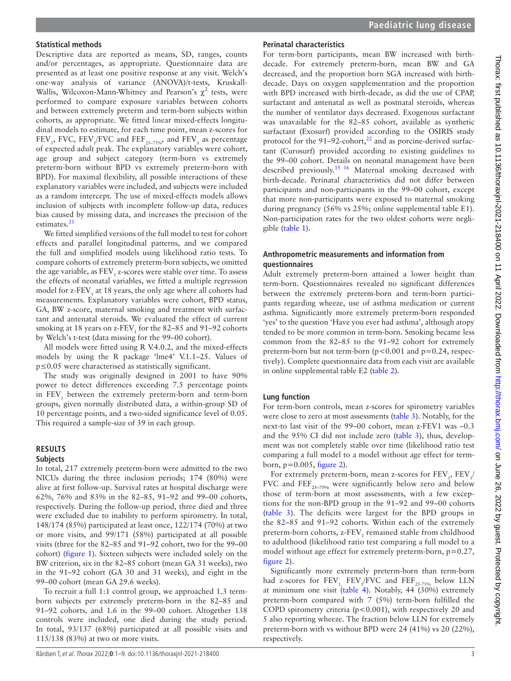#### **Statistical methods**

Descriptive data are reported as means, SD, ranges, counts and/or percentages, as appropriate. Questionnaire data are presented as at least one positive response at any visit. Welch's one-way analysis of variance (ANOVA)/t-tests, Kruskall-Wallis, Wilcoxon-Mann-Whitney and Pearson's  $\chi^2$  tests, were performed to compare exposure variables between cohorts and between extremely preterm and term-born subjects within cohorts, as appropriate. We fitted linear mixed-effects longitudinal models to estimate, for each time point, mean z-scores for  $FEV_1$ , FVC,  $FEV_1/FVC$  and  $FEF_{25-75\%}$ , and  $FEV_1$  as percentage of expected adult peak. The explanatory variables were cohort, age group and subject category (term-born vs extremely preterm-born without BPD vs extremely preterm-born with BPD). For maximal flexibility, all possible interactions of these explanatory variables were included, and subjects were included as a random intercept. The use of mixed-effects models allows inclusion of subjects with incomplete follow-up data, reduces bias caused by missing data, and increases the precision of the estimates.<sup>[21](#page-8-15)</sup>

We fitted simplified versions of the full model to test for cohort effects and parallel longitudinal patterns, and we compared the full and simplified models using likelihood ratio tests. To compare cohorts of extremely preterm-born subjects, we omitted the age variable, as  $\mathrm{FEV}_\textrm{i}$  z-scores were stable over time. To assess the effects of neonatal variables, we fitted a multiple regression model for z- $\text{FEV}_1$  at 18 years, the only age where all cohorts had measurements. Explanatory variables were cohort, BPD status, GA, BW z-score, maternal smoking and treatment with surfactant and antenatal steroids. We evaluated the effect of current smoking at 18 years on z- $\rm FEV_{1}$  for the 82–85 and 91–92 cohorts by Welch's t-test (data missing for the 99–00 cohort).

All models were fitted using R V.4.0.2, and the mixed-effects models by using the R package 'lme4' V.1.1–25. Values of p≤0.05 were characterised as statistically significant.

The study was originally designed in 2001 to have 90% power to detect differences exceeding 7.5 percentage points in FEV<sub>1</sub> between the extremely preterm-born and term-born groups, given normally distributed data, a within-group SD of 10 percentage points, and a two-sided significance level of 0.05. This required a sample-size of 39 in each group.

#### **RESULTS**

#### **Subjects**

In total, 217 extremely preterm-born were admitted to the two NICUs during the three inclusion periods; 174 (80%) were alive at first follow-up. Survival rates at hospital discharge were 62%, 76% and 83% in the 82–85, 91–92 and 99–00 cohorts, respectively. During the follow-up period, three died and three were excluded due to inability to perform spirometry. In total, 148/174 (85%) participated at least once, 122/174 (70%) at two or more visits, and 99/171 (58%) participated at all possible visits (three for the 82–85 and 91–92 cohort, two for the 99–00 cohort) ([figure](#page-1-0) 1). Sixteen subjects were included solely on the BW criterion, six in the 82–85 cohort (mean GA 31 weeks), two in the 91–92 cohort (GA 30 and 31 weeks), and eight in the 99–00 cohort (mean GA 29.6 weeks).

To recruit a full 1:1 control group, we approached 1.3 termborn subjects per extremely preterm-born in the 82–85 and 91–92 cohorts, and 1.6 in the 99–00 cohort. Altogether 138 controls were included, one died during the study period. In total, 93/137 (68%) participated at all possible visits and 115/138 (83%) at two or more visits.

#### **Perinatal characteristics**

For term-born participants, mean BW increased with birthdecade. For extremely preterm-born, mean BW and GA decreased, and the proportion born SGA increased with birthdecade. Days on oxygen supplementation and the proportion with BPD increased with birth-decade, as did the use of CPAP, surfactant and antenatal as well as postnatal steroids, whereas the number of ventilator days decreased. Exogenous surfactant was unavailable for the 82–85 cohort, available as synthetic surfactant (Exosurf) provided according to the OSIRIS study protocol for the 91–92-cohort, $^{22}$  and as porcine-derived surfactant (Curosurf) provided according to existing guidelines to the 99–00 cohort. Details on neonatal management have been described previously[.15 16](#page-8-17) Maternal smoking decreased with birth-decade. Perinatal characteristics did not differ between participants and non-participants in the 99–00 cohort, except that more non-participants were exposed to maternal smoking during pregnancy (56% vs 25%; [online supplemental table E1\)](https://dx.doi.org/10.1136/thoraxjnl-2021-218400). Non-participation rates for the two oldest cohorts were negligible ([table](#page-3-0) 1).

#### **Anthropometric measurements and information from questionnaires**

Adult extremely preterm-born attained a lower height than term-born. Questionnaires revealed no significant differences between the extremely preterm-born and term-born participants regarding wheeze, use of asthma medication or current asthma. Significantly more extremely preterm-born responded 'yes' to the question 'Have you ever had asthma', although atopy tended to be more common in term-born. Smoking became less common from the 82–85 to the 91–92 cohort for extremely preterm-born but not term-born ( $p < 0.001$  and  $p = 0.24$ , respectively). Complete questionnaire data from each visit are available in [online supplemental table E2](https://dx.doi.org/10.1136/thoraxjnl-2021-218400) [\(table](#page-4-0) 2).

#### **Lung function**

For term-born controls, mean z-scores for spirometry variables were close to zero at most assessments ([table](#page-5-0) 3). Notably, for the next-to last visit of the 99–00 cohort, mean z-FEV1 was –0.3 and the 95% CI did not include zero ([table](#page-5-0) 3), thus, development was not completely stable over time (likelihood ratio test comparing a full model to a model without age effect for termborn,  $p=0.005$ , [figure](#page-6-0) 2).

For extremely preterm-born, mean z-scores for  $\rm{FEV}_{_1},\rm{FEV}_{_1}/$ FVC and FEF**25–75%** were significantly below zero and below those of term-born at most assessments, with a few exceptions for the non-BPD group in the 91–92 and 99–00 cohorts ([table](#page-5-0) 3). The deficits were largest for the BPD groups in the 82–85 and 91–92 cohorts. Within each of the extremely preterm-born cohorts,  $z$ - $\rm FEV_{_1}$  remained stable from childhood to adulthood (likelihood ratio test comparing a full model to a model without age effect for extremely preterm-born,  $p=0.27$ , [figure](#page-6-0) 2).

Significantly more extremely preterm-born than term-born had z-scores for  $\text{FEV}_1$ ,  $\text{FEV}_1/\text{FVC}$  and  $\text{FEF}_{25-75\%}$  below LLN at minimum one visit ([table](#page-6-1) 4). Notably, 44 (30%) extremely preterm-born compared with 7 (5%) term-born fulfilled the COPD spirometry criteria (p*<*0.001), with respectively 20 and 5 also reporting wheeze. The fraction below LLN for extremely preterm-born with vs without BPD were 24 (41%) vs 20 (22%), respectively.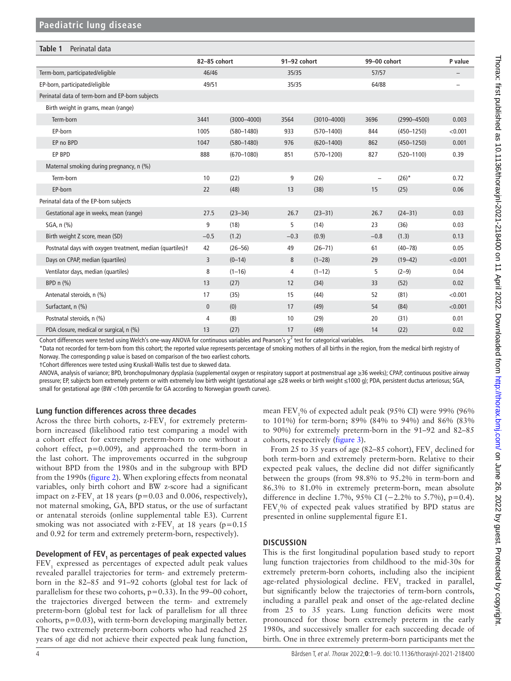<span id="page-3-0"></span>

| Table 1<br>Perinatal data                                  |              |                 |              |                 |                          |                 |                          |
|------------------------------------------------------------|--------------|-----------------|--------------|-----------------|--------------------------|-----------------|--------------------------|
|                                                            | 82-85 cohort |                 | 91-92 cohort |                 | 99-00 cohort             |                 | P value                  |
| Term-born, participated/eligible                           | 46/46        |                 | 35/35        |                 | 57/57                    |                 |                          |
| EP-born, participated/eligible                             | 49/51        |                 | 35/35        |                 | 64/88                    |                 | $\overline{\phantom{0}}$ |
| Perinatal data of term-born and EP-born subjects           |              |                 |              |                 |                          |                 |                          |
| Birth weight in grams, mean (range)                        |              |                 |              |                 |                          |                 |                          |
| Term-born                                                  | 3441         | $(3000 - 4000)$ | 3564         | $(3010 - 4000)$ | 3696                     | $(2990 - 4500)$ | 0.003                    |
| EP-born                                                    | 1005         | $(580 - 1480)$  | 933          | $(570 - 1400)$  | 844                      | $(450 - 1250)$  | < 0.001                  |
| EP no BPD                                                  | 1047         | $(580 - 1480)$  | 976          | $(620 - 1400)$  | 862                      | $(450 - 1250)$  | 0.001                    |
| EP BPD                                                     | 888          | $(670 - 1080)$  | 851          | $(570 - 1200)$  | 827                      | $(520 - 1100)$  | 0.39                     |
| Maternal smoking during pregnancy, n (%)                   |              |                 |              |                 |                          |                 |                          |
| Term-born                                                  | 10           | (22)            | 9            | (26)            | $\overline{\phantom{0}}$ | $(26)^*$        | 0.72                     |
| EP-born                                                    | 22           | (48)            | 13           | (38)            | 15                       | (25)            | 0.06                     |
| Perinatal data of the EP-born subjects                     |              |                 |              |                 |                          |                 |                          |
| Gestational age in weeks, mean (range)                     | 27.5         | $(23 - 34)$     | 26.7         | $(23 - 31)$     | 26.7                     | $(24 - 31)$     | 0.03                     |
| SGA, n (%)                                                 | 9            | (18)            | 5            | (14)            | 23                       | (36)            | 0.03                     |
| Birth weight Z score, mean (SD)                            | $-0.5$       | (1.2)           | $-0.3$       | (0.9)           | $-0.8$                   | (1.3)           | 0.13                     |
| Postnatal days with oxygen treatment, median (quartiles) + | 42           | $(26 - 56)$     | 49           | $(26 - 71)$     | 61                       | $(40 - 78)$     | 0.05                     |
| Days on CPAP, median (quartiles)                           | 3            | $(0 - 14)$      | 8            | $(1-28)$        | 29                       | $(19 - 42)$     | < 0.001                  |
| Ventilator days, median (quartiles)                        | 8            | $(1 - 16)$      | 4            | $(1-12)$        | 5                        | $(2-9)$         | 0.04                     |
| BPD n (%)                                                  | 13           | (27)            | 12           | (34)            | 33                       | (52)            | 0.02                     |
| Antenatal steroids, n (%)                                  | 17           | (35)            | 15           | (44)            | 52                       | (81)            | < 0.001                  |
| Surfactant, n (%)                                          | $\mathbf{0}$ | (0)             | 17           | (49)            | 54                       | (84)            | < 0.001                  |
| Postnatal steroids, n (%)                                  | 4            | (8)             | 10           | (29)            | 20                       | (31)            | 0.01                     |
| PDA closure, medical or surgical, n (%)                    | 13           | (27)            | 17           | (49)            | 14                       | (22)            | 0.02                     |

Cohort differences were tested using Welch's one-way ANOVA for continuous variables and Pearson's  $\chi^2$  test for categorical variables.

\*Data not recorded for term-born from this cohort; the reported value represents percentage of smoking mothers of all births in the region, from the medical birth registry of Norway. The corresponding p value is based on comparison of the two earliest cohorts.

†Cohort differences were tested using Kruskall-Wallis test due to skewed data.

ANOVA, analysis of variance; BPD, bronchopulmonary dysplasia (supplemental oxygen or respiratory support at postmenstrual age ≥36 weeks); CPAP, continuous positive airway pressure; EP, subjects born extremely preterm or with extremely low birth weight (gestational age ≤28 weeks or birth weight ≤1000 g); PDA, persistent ductus arteriosus; SGA, small for gestational age (BW <10th percentile for GA according to Norwegian growth curves).

#### **Lung function differences across three decades**

Across the three birth cohorts,  $z$ - $FEV<sub>1</sub>$  for extremely pretermborn increased (likelihood ratio test comparing a model with a cohort effect for extremely preterm-born to one without a cohort effect, p=0.009), and approached the term-born in the last cohort. The improvements occurred in the subgroup without BPD from the 1980s and in the subgroup with BPD from the 1990s ([figure](#page-6-0) 2). When exploring effects from neonatal variables, only birth cohort and BW z-score had a significant impact on z- $FEV_1$  at 18 years (p=0.03 and 0.006, respectively), not maternal smoking, GA, BPD status, or the use of surfactant or antenatal steroids [\(online supplemental table E3](https://dx.doi.org/10.1136/thoraxjnl-2021-218400)). Current smoking was not associated with z- $FEV_1$  at 18 years (p=0.15 and 0.92 for term and extremely preterm-born, respectively).

# Development of FEV<sub>1</sub> as percentages of peak expected values

 $\text{FEV}_1$  expressed as percentages of expected adult peak values revealed parallel trajectories for term- and extremely pretermborn in the 82–85 and 91–92 cohorts (global test for lack of parallelism for these two cohorts,  $p=0.33$ ). In the 99–00 cohort, the trajectories diverged between the term- and extremely preterm-born (global test for lack of parallelism for all three cohorts, p*=*0.03), with term-born developing marginally better. The two extremely preterm-born cohorts who had reached 25 years of age did not achieve their expected peak lung function,

mean FEV<sub>1</sub>% of expected adult peak (95% CI) were 99% (96% to 101%) for term-born; 89% (84% to 94%) and 86% (83% to 90%) for extremely preterm-born in the 91–92 and 82–85 cohorts, respectively [\(figure](#page-7-0) 3).

From 25 to 35 years of age (82–85 cohort),  $FEV_1$  declined for both term-born and extremely preterm-born. Relative to their expected peak values, the decline did not differ significantly between the groups (from 98.8% to 95.2% in term-born and 86.3% to 81.0% in extremely preterm-born, mean absolute difference in decline 1.7%, 95% CI (−2.2% to 5.7%), p*=*0.4).  $FEV<sub>1</sub>$ % of expected peak values stratified by BPD status are presented in [online supplemental figure E1](https://dx.doi.org/10.1136/thoraxjnl-2021-218400).

#### **DISCUSSION**

This is the first longitudinal population based study to report lung function trajectories from childhood to the mid-30s for extremely preterm-born cohorts, including also the incipient age-related physiological decline.  $\text{FEV}_1$  tracked in parallel, but significantly below the trajectories of term-born controls, including a parallel peak and onset of the age-related decline from 25 to 35 years. Lung function deficits were most pronounced for those born extremely preterm in the early 1980s, and successively smaller for each succeeding decade of birth. One in three extremely preterm-born participants met the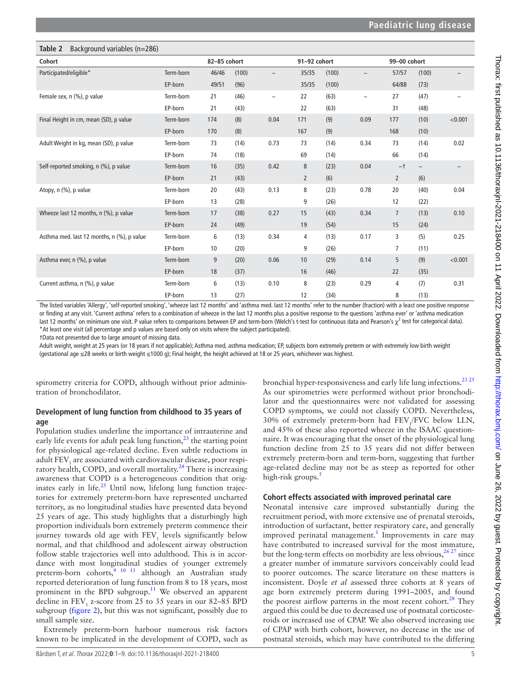<span id="page-4-0"></span>

| Background variables (n=286)<br>Table 2    |           |              |       |                          |              |       |                          |                 |                   |         |
|--------------------------------------------|-----------|--------------|-------|--------------------------|--------------|-------|--------------------------|-----------------|-------------------|---------|
| Cohort                                     |           | 82-85 cohort |       |                          | 91-92 cohort |       |                          | 99-00 cohort    |                   |         |
| Participated/eligible*                     | Term-born | 46/46        | (100) | $\overline{\phantom{m}}$ | 35/35        | (100) | $\overline{\phantom{0}}$ | 57/57           | (100)             |         |
|                                            | EP-born   | 49/51        | (96)  |                          | 35/35        | (100) |                          | 64/88           | (73)              |         |
| Female sex, n (%), p value                 | Term-born | 21           | (46)  | $\overline{\phantom{a}}$ | 22           | (63)  | $\overline{\phantom{0}}$ | 27              | (47)              |         |
|                                            | EP-born   | 21           | (43)  |                          | 22           | (63)  |                          | 31              | (48)              |         |
| Final Height in cm, mean (SD), p value     | Term-born | 174          | (8)   | 0.04                     | 171          | (9)   | 0.09                     | 177             | (10)              | < 0.001 |
|                                            | EP-born   | 170          | (8)   |                          | 167          | (9)   |                          | 168             | (10)              |         |
| Adult Weight in kg, mean (SD), p value     | Term-born | 73           | (14)  | 0.73                     | 73           | (14)  | 0.34                     | 73              | (14)              | 0.02    |
|                                            | EP-born   | 74           | (18)  |                          | 69           | (14)  |                          | 66              | (14)              |         |
| Self-reported smoking, n (%), p value      | Term-born | 16           | (35)  | 0.42                     | 8            | (23)  | 0.04                     | $-†$            | $\qquad \qquad -$ |         |
|                                            | EP-born   | 21           | (43)  |                          | $\mathbf{2}$ | (6)   |                          | $\overline{2}$  | (6)               |         |
| Atopy, n (%), p value                      | Term-born | 20           | (43)  | 0.13                     | 8            | (23)  | 0.78                     | 20              | (40)              | 0.04    |
|                                            | EP-born   | 13           | (28)  |                          | 9            | (26)  |                          | 12              | (22)              |         |
| Wheeze last 12 months, n (%), p value      | Term-born | 17           | (38)  | 0.27                     | 15           | (43)  | 0.34                     | $7\overline{ }$ | (13)              | 0.10    |
|                                            | EP-born   | 24           | (49)  |                          | 19           | (54)  |                          | 15              | (24)              |         |
| Asthma med. last 12 months, n (%), p value | Term-born | 6            | (13)  | 0.34                     | 4            | (13)  | 0.17                     | 3               | (5)               | 0.25    |
|                                            | EP-born   | 10           | (20)  |                          | 9            | (26)  |                          | $\overline{7}$  | (11)              |         |
| Asthma ever, n (%), p value                | Term-born | 9            | (20)  | 0.06                     | 10           | (29)  | 0.14                     | 5               | (9)               | < 0.001 |
|                                            | EP-born   | 18           | (37)  |                          | 16           | (46)  |                          | 22              | (35)              |         |
| Current asthma, n (%), p value             | Term-born | 6            | (13)  | 0.10                     | 8            | (23)  | 0.29                     | 4               | (7)               | 0.31    |
|                                            | EP-born   | 13           | (27)  |                          | 12           | (34)  |                          | 8               | (13)              |         |

The listed variables 'Allergy', 'self-reported smoking', 'wheeze last 12 months' and 'asthma med. last 12 months' refer to the number (fraction) with a least one positive response or finding at any visit. 'Current asthma' refers to a combination of wheeze in the last 12 months plus a positive response to the questions 'asthma ever' or 'asthma medication last 12 months' on minimum one visit. P value refers to comparisons between EP and term-born (Welch's t-test for continuous data and Pearson's  $\chi^2$  test for categorical data). \*At least one visit (all percentage and p values are based only on visits where the subject participated).

†Data not presented due to large amount of missing data.

Adult weight, weight at 25 years (or 18 years if not applicable); Asthma med, asthma medication; EP, subjects born extremely preterm or with extremely low birth weight (gestational age ≤28 weeks or birth weight ≤1000 g); Final height, the height achieved at 18 or 25 years, whichever was highest.

spirometry criteria for COPD, although without prior administration of bronchodilator.

## **Development of lung function from childhood to 35 years of age**

Population studies underline the importance of intrauterine and early life events for adult peak lung function, $^{23}$  $^{23}$  $^{23}$  the starting point for physiological age-related decline. Even subtle reductions in adult  $\mathrm{FEV}_1$  are associated with cardiovascular disease, poor respiratory health, COPD, and overall mortality.<sup>24</sup> There is increasing awareness that COPD is a heterogeneous condition that originates early in life. $^{25}$  Until now, lifelong lung function trajectories for extremely preterm-born have represented uncharted territory, as no longitudinal studies have presented data beyond 25 years of age. This study highlights that a disturbingly high proportion individuals born extremely preterm commence their journey towards old age with  $\text{FEV}_1$  levels significantly below normal, and that childhood and adolescent airway obstruction follow stable trajectories well into adulthood. This is in accordance with most longitudinal studies of younger extremely preterm-born cohorts, $9^{10}$  13 although an Australian study reported deterioration of lung function from 8 to 18 years, most prominent in the BPD subgroup[.11](#page-8-21) We observed an apparent decline in  $FEV_1$  z-score from 25 to 35 years in our 82–85 BPD subgroup [\(figure](#page-6-0) 2), but this was not significant, possibly due to small sample size.

Extremely preterm-born harbour numerous risk factors known to be implicated in the development of COPD, such as

Bårdsen T, et al. Thorax 2022;**0**:1–9. doi:10.1136/thoraxjnl-2021-218400 5

bronchial hyper-responsiveness and early life lung infections.[23 25](#page-8-18) As our spirometries were performed without prior bronchodilator and the questionnaires were not validated for assessing COPD symptoms, we could not classify COPD. Nevertheless, 30% of extremely preterm-born had  $\text{FEV}_1/\text{FVC}$  below LLN, and 45% of these also reported wheeze in the ISAAC questionnaire. It was encouraging that the onset of the physiological lung function decline from 25 to 35 years did not differ between extremely preterm-born and term-born, suggesting that further age-related decline may not be as steep as reported for other high-risk groups.<sup>[5](#page-8-4)</sup>

#### **Cohort effects associated with improved perinatal care**

Neonatal intensive care improved substantially during the recruitment period, with more extensive use of prenatal steroids, introduction of surfactant, better respiratory care, and generally improved perinatal management.<sup>[1](#page-8-0)</sup> Improvements in care may have contributed to increased survival for the most immature, but the long-term effects on morbidity are less obvious,  $26\frac{27}{27}$  since a greater number of immature survivors conceivably could lead to poorer outcomes. The scarce literature on these matters is inconsistent. Doyle *et al* assessed three cohorts at 8 years of age born extremely preterm during 1991–2005, and found the poorest airflow patterns in the most recent cohort.<sup>[28](#page-8-23)</sup> They argued this could be due to decreased use of postnatal corticosteroids or increased use of CPAP. We also observed increasing use of CPAP with birth cohort, however, no decrease in the use of postnatal steroids, which may have contributed to the differing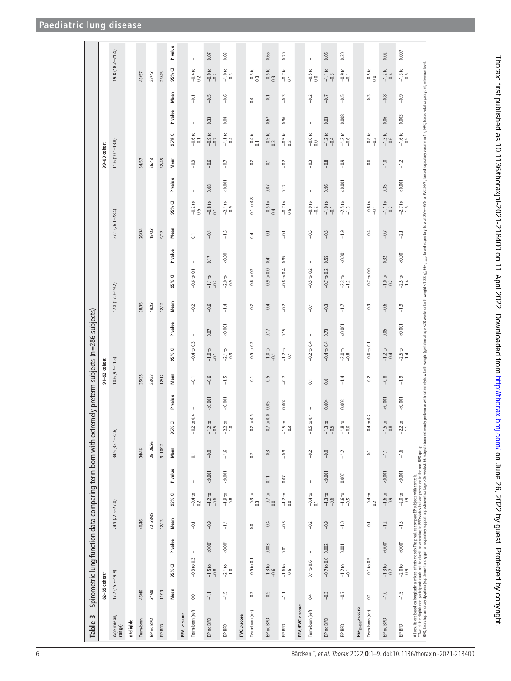<span id="page-5-0"></span>

| Table 3                                                                                                                                                                                                                           |                            | Spirometric lung function data comparing term-born with extremely preterm subjects (n=286 subjects) |         |                  |                               |             |                                 |                             |              |                     |                     |             |                     |                              |                       |                         |                                     |        |                                                        |              |                |                                                                      |         |
|-----------------------------------------------------------------------------------------------------------------------------------------------------------------------------------------------------------------------------------|----------------------------|-----------------------------------------------------------------------------------------------------|---------|------------------|-------------------------------|-------------|---------------------------------|-----------------------------|--------------|---------------------|---------------------|-------------|---------------------|------------------------------|-----------------------|-------------------------|-------------------------------------|--------|--------------------------------------------------------|--------------|----------------|----------------------------------------------------------------------|---------|
|                                                                                                                                                                                                                                   | 82-85 cohort*              |                                                                                                     |         |                  |                               |             |                                 |                             |              | $91 - 92$ cohort    |                     |             |                     |                              |                       |                         |                                     |        | 99-00 cohort                                           |              |                |                                                                      |         |
| Age (mean,<br>range)                                                                                                                                                                                                              | $17.7(15.3 - 19.9)$        |                                                                                                     |         | 24.9 (22.5-27.0) |                               |             | 34.5 (32.1-37.6)                |                             |              | $10.6(9.7 - 11.5)$  |                     |             | $17.8(17.0 - 19.2)$ |                              |                       | 27.1 (26.1-28.4)        |                                     |        | $11.6(10.1 - 13.8)$                                    |              |                | $19.8(18.2 - 21.4)$                                                  |         |
| n/eligble                                                                                                                                                                                                                         |                            |                                                                                                     |         |                  |                               |             |                                 |                             |              |                     |                     |             |                     |                              |                       |                         |                                     |        |                                                        |              |                |                                                                      |         |
| Term-born                                                                                                                                                                                                                         | 46/46                      |                                                                                                     |         | 40/46            |                               |             | 34/46                           |                             |              | 35/35               |                     |             | 28/35               |                              |                       | 26/34                   |                                     | 54/57  |                                                        |              |                | 43/57                                                                |         |
| EP no BPD                                                                                                                                                                                                                         | 34/38                      |                                                                                                     |         | 32-33/38         |                               |             | 25-26/36                        |                             |              | 23/23               |                     |             | 19/23               |                              |                       | 15/23                   |                                     | 26/43  |                                                        |              |                | 27/43                                                                |         |
| EPBPD                                                                                                                                                                                                                             | 12/13                      |                                                                                                     |         | 12/13            |                               |             | $9 - 10/12$                     |                             |              | 12/12               |                     |             | 12/12               |                              |                       | 9/12                    |                                     | 32/45  |                                                        |              |                | 23/45                                                                |         |
|                                                                                                                                                                                                                                   | Mean                       | 95% CI                                                                                              | P value | Mean             | 95% CI                        | P value     | Mean                            | 95% CI                      | P value      | Mean                | 95% CI              | P value     | Mean                | 95% CI                       | <b>P</b> value        | Mean                    | P value<br>95% CI                   | Mean   | 95% CI                                                 | P value      | Mean           | 95% CI                                                               | P value |
| FEV, z-score                                                                                                                                                                                                                      |                            |                                                                                                     |         |                  |                               |             |                                 |                             |              |                     |                     |             |                     |                              |                       |                         |                                     |        |                                                        |              |                |                                                                      |         |
| Term-born (ref)                                                                                                                                                                                                                   | 0.0                        | $-0.3$ to 0.3                                                                                       | T       | $-0.1$           | $-0.4$ to<br>0.2              | $\mathsf I$ | $\overline{c}$                  | $-0.2$ to $0.4$             | 1            | $-0.1$              | $-0.4$ to 0.3       | $\mathsf I$ | $-0.2$              | $\mathsf I$<br>$-0.6$ to 0.1 | $\overline{\text{o}}$ |                         | $\mathsf I$<br>$-0.2$ to 0.5        | $-0.3$ | $-0.6 \text{ to } -0.1$                                | $\mathsf I$  | $-0.1$         | $\mathsf I$<br>$\frac{-0.4 \text{ to}}{0.2}$                         |         |
| EP no BPD                                                                                                                                                                                                                         | $-1.1$                     | $\mathtt{a}$<br>$-1.5 + (-1.5)$                                                                     | 0.001   | $-0.9$           | $-1.2 to$<br>$-0.6$           | 0.001       | $-0.9$                          | $-1.2$ to<br>$-0.5$         | 0.001        | $-0.6$              | $-1.0$ to<br>-0.1   | 0.07        | $-0.6$              | $-1.1$ to<br>-0.2            | 0.17                  | $-0.8$ to 0.1<br>$-0.4$ | 0.08                                | $-0.6$ | $-0.9$ to<br>$-0.2$                                    | 0.33         | $-0.5$         | 0.07<br>$-0.9$ to<br>$-0.2$                                          |         |
| EPBPD                                                                                                                                                                                                                             | $-1.5$                     | $-2.1$ to<br>$-1.0$                                                                                 | 0.001   | $-1.4$           | $-1.9$ to<br>$-0.8$           | < 0.001     | $-1.6$                          | $-2.2$ to<br>-1.0           | 50.001       | $-1.5$              | $-2.1$ to<br>$-0.9$ | 0.001       | $-1.4$              | $-2.0$ to<br>$-9.9$          | 0.001                 | $-1.5$                  | 0.001<br>$-2.1$ to<br>$-0.9$        | $-0.7$ | $-1.1$ to<br>$-0.4$                                    | 0.08         | $-0.6$         | 0.03<br>$-1.0 \text{ to } -0.3$                                      |         |
| FVC z-score                                                                                                                                                                                                                       |                            |                                                                                                     |         |                  |                               |             |                                 |                             |              |                     |                     |             |                     |                              |                       |                         |                                     |        |                                                        |              |                |                                                                      |         |
| Term-born (ref)                                                                                                                                                                                                                   | $-0.2$                     | $-0.5$ to 0.1                                                                                       | -1      | 0.0              | $\frac{-0.3 \text{ to}}{0.3}$ | $\mathsf I$ | 3                               | $-0.2$ to 0.5               | $\mathbf{I}$ | $-0.1$              | $-0.5$ to 0.2       | $\mathbb I$ | $-0.2$              | $\mathsf I$<br>$-0.6$ to 0.2 | 0.4                   |                         | $\mathsf I$<br>0.1 to 0.8           | $-0.2$ | $-0.4 t$ o<br>0.1                                      | $\mathbb{I}$ | $\overline{0}$ | $\mathbb{I}$<br>$\frac{-0.3 \text{ to}}{0.3}$                        |         |
| EP no BPD                                                                                                                                                                                                                         | $-0.9$                     | $-1.3$ to<br>$-0.6$                                                                                 | 0.003   | $-0.4$           | $\frac{-0.7 \text{ to}}{0.0}$ | 0.11        | $-0.3$                          | $-0.7$ to 0.0               | 0.05         | $-0.5$              | $-1.0$ to<br>-0.1   | 0.17        | $-0.4$              | $-0.9$ to 0.0                | 0.41                  | $-0.1$                  | 0.07<br>$-0.5$ to 0.4               | $-0.1$ | $-0.5 to$<br>0.3                                       | 0.67         | $-0.1$         | 0.66<br>$-0.5 to$<br>0.3                                             |         |
| EPBPD                                                                                                                                                                                                                             | $\overline{1}\overline{1}$ | $-1.6$ to<br>$-0.5$                                                                                 | 0.01    | $-0.6$           | $-1.2$ to 0.0                 | 0.07        | $-0.9$                          | $-1.5$ to<br>$-0.3$         | 0.002        | $-0.7$              | $-1.2$ to<br>-0.1   | 0.15        | $-0.2$              | $-0.8$ to 0.4                | 0.95                  | $-0.1$                  | 0.12<br>$-0.7$ to 0.5               | $-0.2$ | $\begin{array}{c} -0.5 \text{ to} \\ 0.2 \end{array}$  | 0.96         | $-0.3$         | 0.20<br>$\frac{-0.7 \text{ to}}{0.1}$                                |         |
| FEV,/FVC z-score                                                                                                                                                                                                                  |                            |                                                                                                     |         |                  |                               |             |                                 |                             |              |                     |                     |             |                     |                              |                       |                         |                                     |        |                                                        |              |                |                                                                      |         |
| Term-born (ref)                                                                                                                                                                                                                   | 0.4                        | $0.1$ to $0.6$                                                                                      | 1       | $-0.2$           | $-0.4$ to 0.1                 | $\mathsf I$ | $-0.2$                          | .5 to 0.1<br>$\overline{a}$ | $\mathsf I$  | $\overline{\omega}$ | $-0.2$ to 0.4       | $\mathbb I$ | $-0.1$              | $\mathsf I$<br>$-0.5$ to 0.2 |                       | $-0.5$                  | $\mathbb{I}$<br>$-0.9$ to<br>$-0.2$ | $-0.3$ | $\begin{array}{c} -0.6 \text{ to } \\ 0.0 \end{array}$ | $\mathbb{I}$ | $-0.2$         | $\mathsf I$<br>$\begin{array}{c} -0.5 \text{ to} \\ 0.0 \end{array}$ |         |
| EP no BPD                                                                                                                                                                                                                         | $-0.3$                     | $-0.7$ to 0.0                                                                                       | 0.002   | $-0.9$           | $-1.3 to$<br>$-0.6$           | 0.001       | $-0.9$                          | $-1.3$ to<br>$-0.5$         | 0.004        | 0.0                 | $-0.4$ to 0.4       | 0.73        | $-0.3$              | $-0.7$ to 0.2                | 0.55                  | $-0.5$                  | 0.96<br>$-1.0$ to<br>$-0.1$         | $-0.8$ | $-1.2$ to<br>$-0.4$                                    | 0.03         | $-0.7$         | 0.06<br>$-1.1$ to<br>-0.3                                            |         |
| EPBPD                                                                                                                                                                                                                             | $-0.7$                     | $-1.2$ to<br>$-0.1$                                                                                 | 0.001   | $-1.0$           | $-1.6$ to<br>$-0.5$           | 0.007       | $-1.2$                          | $-1.8$ to<br>$-0.6$         | 0.003        | $-1.4$              | $-2.0$ to $-0.8$    | 0.001       | $-1.7$              | $-2.3$ to<br>$-1.2$          | 0.001                 | $-1.9$                  | 0.001<br>$-2.5$ to<br>$-1.3$        | $-0.9$ | $-1.2$ to<br>$-0.6$                                    | 0.008        | $-0.5$         | 0.30<br>$-0.9$ to<br>$-0.1$                                          |         |
| FEF $_{25-75\%}$ 2-score                                                                                                                                                                                                          |                            |                                                                                                     |         |                  |                               |             |                                 |                             |              |                     |                     |             |                     |                              |                       |                         |                                     |        |                                                        |              |                |                                                                      |         |
| Term-born (ref)                                                                                                                                                                                                                   | 0.2                        | $-0.1$ to $0.5$                                                                                     | T       | $-0.1$           | $\frac{-0.4 \text{ to}}{0.2}$ | $\mathsf I$ | $-6.1$                          | $-0.4$ to 0.2               |              | $-0.2$              | $-0.6$ to 0.1       | $\mathsf I$ | $-0.3$              | $\,$ I<br>$-0.7$ to 0.0      |                       | $-0.4$                  | $\mathsf I$<br>$-0.8$ to<br>$-0.1$  | $-0.6$ | $-0.8 \text{ to } -0.3$                                | $\mathbb{I}$ | $-0.3$         | $\mathbb{I}$<br>$-0.5 to$<br>0.0                                     |         |
| EP no BPD                                                                                                                                                                                                                         | $-1.0$                     | $\mathbf{c}$<br>$-1.31$                                                                             | 0.001   | $-1.2$           | $-1.6$ to<br>$-0.9$           | 0.001       | $\overline{1}\cdot\overline{1}$ | $-1.5$ to<br>$-0.8$         | 0.001        | $-0.8$              | $-1.2$ to<br>$-0.4$ | 0.05        | $-0.6$              | $-1.0 t$                     | 0.32                  | $-0.7$                  | 0.35<br>$-1.1$ to<br>-0.2           | $-1.0$ | $-1.3$ to<br>$-0.6$                                    | 0.06         | $-0.8$         | 0.02<br>$-1.2$ to<br>$-0.4$                                          |         |
| EPBPD                                                                                                                                                                                                                             | $-1.5$                     | $-2.0$ to<br>$-0.9$                                                                                 | 0.001   | $-1.5$           | $-2.0$ to<br>$-0.9$           | 0.001       | $-1.6$                          | $-2.2$ to<br>-1.1           | 0.001        | $-1.9$              | $-2.5$ to<br>$-1.4$ | 0.001       | $-1.9$              | $-2.5$ to<br>$-1.4$          | 0.001                 | $-2.1$                  | 0.001<br>$-2.7$ to<br>$-1.5$        | $-1.2$ | $-1.6 \text{ to } -0.9$                                | 0.003        | $-0.9$         | 0.007<br>$-1.3$ to<br>$-0.5$                                         |         |
| . All results are based to provide, the product the product once the property of the compact Paper Brack of the models with controls.<br>The other produced and are allowed to the compact the states of the state of the state o |                            |                                                                                                     |         |                  |                               |             |                                 |                             |              |                     |                     |             |                     |                              |                       |                         |                                     |        |                                                        |              |                |                                                                      |         |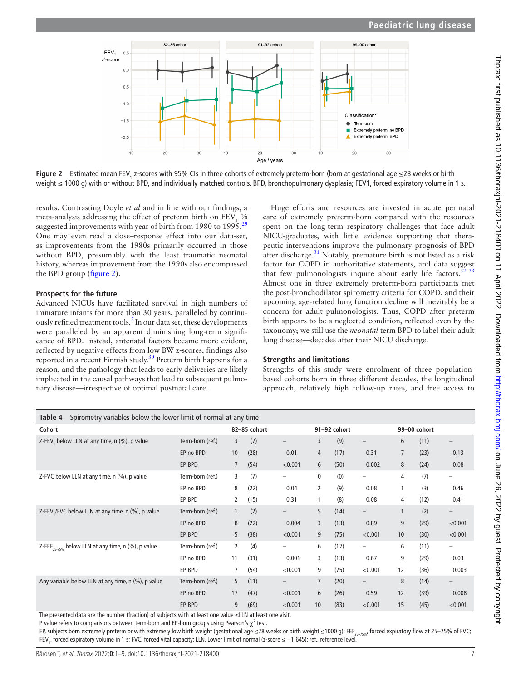

**Figure 2** Estimated mean FEV<sub>1</sub> z-scores with 95% CIs in three cohorts of extremely preterm-born (born at gestational age ≤28 weeks or birth weight ≤ 1000 g) with or without BPD, and individually matched controls. BPD, bronchopulmonary dysplasia; FEV1, forced expiratory volume in 1 s.

results. Contrasting Doyle *et al* and in line with our findings, a meta-analysis addressing the effect of preterm birth on  $FEV<sub>1</sub>$ % suggested improvements with year of birth from 1980 to 1995.<sup>[29](#page-8-24)</sup> One may even read a dose–response effect into our data-set, as improvements from the 1980s primarily occurred in those without BPD, presumably with the least traumatic neonatal history, whereas improvement from the 1990s also encompassed the BPD group ([figure](#page-6-0) 2).

#### **Prospects for the future**

Advanced NICUs have facilitated survival in high numbers of immature infants for more than 30 years, paralleled by continu-ously refined treatment tools.<sup>[2](#page-8-1)</sup> In our data set, these developments were paralleled by an apparent diminishing long-term significance of BPD. Instead, antenatal factors became more evident, reflected by negative effects from low BW z-scores, findings also reported in a recent Finnish study[.30](#page-8-25) Preterm birth happens for a reason, and the pathology that leads to early deliveries are likely implicated in the causal pathways that lead to subsequent pulmonary disease—irrespective of optimal postnatal care.

<span id="page-6-0"></span>Huge efforts and resources are invested in acute perinatal care of extremely preterm-born compared with the resources spent on the long-term respiratory challenges that face adult NICU-graduates, with little evidence supporting that therapeutic interventions improve the pulmonary prognosis of BPD after discharge.<sup>31</sup> Notably, premature birth is not listed as a risk factor for COPD in authoritative statements, and data suggest that few pulmonologists inquire about early life factors. $32$ Almost one in three extremely preterm-born participants met the post-bronchodilator spirometry criteria for COPD, and their upcoming age-related lung function decline will inevitably be a concern for adult pulmonologists. Thus, COPD after preterm birth appears to be a neglected condition, reflected even by the taxonomy; we still use the *neonatal* term BPD to label their adult lung disease—decades after their NICU discharge.

#### **Strengths and limitations**

Strengths of this study were enrolment of three populationbased cohorts born in three different decades, the longitudinal approach, relatively high follow-up rates, and free access to

<span id="page-6-1"></span>

| Table 4<br>Spirometry variables below the lower limit of normal at any time |                  |                |              |                          |                |              |                          |                |              |         |
|-----------------------------------------------------------------------------|------------------|----------------|--------------|--------------------------|----------------|--------------|--------------------------|----------------|--------------|---------|
| Cohort                                                                      |                  |                | 82-85 cohort |                          |                | 91-92 cohort |                          |                | 99-00 cohort |         |
| Z-FEV, below LLN at any time, n (%), p value                                | Term-born (ref.) | 3              | (7)          | $\qquad \qquad -$        | 3              | (9)          | $\qquad \qquad -$        | 6              | (11)         | —       |
|                                                                             | EP no BPD        | 10             | (28)         | 0.01                     | 4              | (17)         | 0.31                     | $\overline{7}$ | (23)         | 0.13    |
|                                                                             | EP BPD           | $\overline{7}$ | (54)         | < 0.001                  | 6              | (50)         | 0.002                    | 8              | (24)         | 0.08    |
| Z-FVC below LLN at any time, n (%), p value                                 | Term-born (ref.) | 3              | (7)          | $\qquad \qquad -$        | 0              | (0)          | $\qquad \qquad -$        | 4              | (7)          | -       |
|                                                                             | EP no BPD        | 8              | (22)         | 0.04                     | 2              | (9)          | 0.08                     |                | (3)          | 0.46    |
|                                                                             | EP BPD           | 2              | (15)         | 0.31                     |                | (8)          | 0.08                     | 4              | (12)         | 0.41    |
| Z-FEV, /FVC below LLN at any time, n (%), p value                           | Term-born (ref.) | 1              | (2)          | $\overline{\phantom{0}}$ | 5              | (14)         | $\overline{\phantom{0}}$ |                | (2)          | —       |
|                                                                             | EP no BPD        | 8              | (22)         | 0.004                    | 3              | (13)         | 0.89                     | 9              | (29)         | < 0.001 |
|                                                                             | EP BPD           | 5              | (38)         | < 0.001                  | 9              | (75)         | < 0.001                  | 10             | (30)         | < 0.001 |
| Z-FEF <sub>25-75%</sub> below LLN at any time, n (%), p value               | Term-born (ref.) | 2              | (4)          | $\overline{\phantom{0}}$ | 6              | (17)         | $\overline{\phantom{0}}$ | 6              | (11)         | -       |
|                                                                             | EP no BPD        | 11             | (31)         | 0.001                    | 3              | (13)         | 0.67                     | 9              | (29)         | 0.03    |
|                                                                             | EP BPD           |                | (54)         | < 0.001                  | 9              | (75)         | < 0.001                  | 12             | (36)         | 0.003   |
| Any variable below LLN at any time, n (%), p value                          | Term-born (ref.) | 5              | (11)         | $\qquad \qquad -$        | $\overline{7}$ | (20)         | $\qquad \qquad -$        | 8              | (14)         | —       |
|                                                                             | EP no BPD        | 17             | (47)         | < 0.001                  | 6              | (26)         | 0.59                     | 12             | (39)         | 0.008   |
|                                                                             | EP BPD           | 9              | (69)         | < 0.001                  | 10             | (83)         | < 0.001                  | 15             | (45)         | < 0.001 |

The presented data are the number (fraction) of subjects with at least one value ≤LLN at least one visit.

P value refers to comparisons between term-born and EP-born groups using Pearson's  $\chi^2$  test.

EP, subjects born extremely preterm or with extremely low birth weight (gestational age ≤28 weeks or birth weight ≤1000 g); FEF<sub>25–75%</sub>, forced expiratory flow at 25–75% of FVC; FEV<sub>1</sub>, forced expiratory volume in 1 s; FVC, forced vital capacity; LLN, Lower limit of normal (z-score ≤ –1.645); ref., reference level.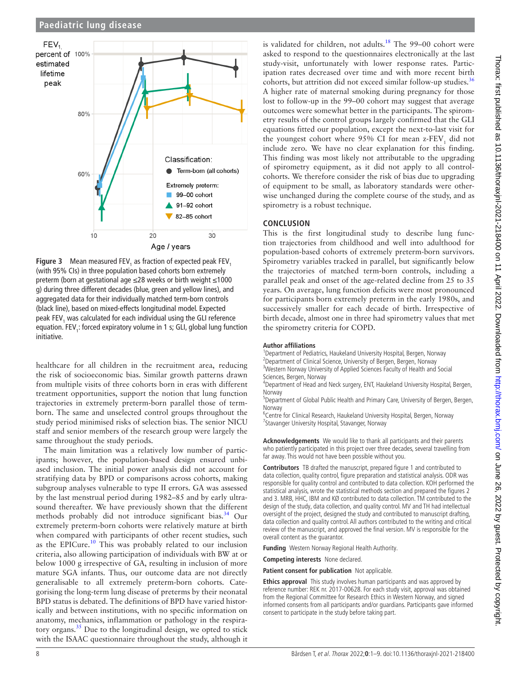

<span id="page-7-0"></span>**Figure 3** Mean measured  $FEV_1$  as fraction of expected peak  $FEV_1$ (with 95% CIs) in three population based cohorts born extremely preterm (born at gestational age ≤28 weeks or birth weight ≤1000 g) during three different decades (blue, green and yellow lines), and aggregated data for their individually matched term-born controls (black line), based on mixed-effects longitudinal model. Expected peak FEV<sub>1</sub> was calculated for each individual using the GLI reference equation. FEV<sub>1</sub>: forced expiratory volume in 1 s; GLI, global lung function initiative.

healthcare for all children in the recruitment area, reducing the risk of socioeconomic bias. Similar growth patterns drawn from multiple visits of three cohorts born in eras with different treatment opportunities, support the notion that lung function trajectories in extremely preterm-born parallel those of termborn. The same and unselected control groups throughout the study period minimised risks of selection bias. The senior NICU staff and senior members of the research group were largely the same throughout the study periods.

The main limitation was a relatively low number of participants; however, the population-based design ensured unbiased inclusion. The initial power analysis did not account for stratifying data by BPD or comparisons across cohorts, making subgroup analyses vulnerable to type II errors. GA was assessed by the last menstrual period during 1982–85 and by early ultrasound thereafter. We have previously shown that the different methods probably did not introduce significant bias.<sup>[34](#page-8-28)</sup> Our extremely preterm-born cohorts were relatively mature at birth when compared with participants of other recent studies, such as the EPICure.<sup>10</sup> This was probably related to our inclusion criteria, also allowing participation of individuals with BW at or below 1000 g irrespective of GA, resulting in inclusion of more mature SGA infants. Thus, our outcome data are not directly generalisable to all extremely preterm-born cohorts. Categorising the long-term lung disease of preterms by their neonatal BPD status is debated. The definitions of BPD have varied historically and between institutions, with no specific information on anatomy, mechanics, inflammation or pathology in the respira-tory organs.<sup>[35](#page-8-30)</sup> Due to the longitudinal design, we opted to stick with the ISAAC questionnaire throughout the study, although it

is validated for children, not adults.<sup>18</sup> The 99-00 cohort were asked to respond to the questionnaires electronically at the last study-visit, unfortunately with lower response rates. Participation rates decreased over time and with more recent birth cohorts, but attrition did not exceed similar follow-up studies.<sup>[36](#page-8-31)</sup> A higher rate of maternal smoking during pregnancy for those lost to follow-up in the 99–00 cohort may suggest that average outcomes were somewhat better in the participants. The spirometry results of the control groups largely confirmed that the GLI equations fitted our population, except the next-to-last visit for the youngest cohort where  $95\%$  CI for mean z-FEV<sub>1</sub> did not include zero. We have no clear explanation for this finding. This finding was most likely not attributable to the upgrading of spirometry equipment, as it did not apply to all controlcohorts. We therefore consider the risk of bias due to upgrading of equipment to be small, as laboratory standards were otherwise unchanged during the complete course of the study, and as spirometry is a robust technique.

# **CONCLUSION**

This is the first longitudinal study to describe lung function trajectories from childhood and well into adulthood for population-based cohorts of extremely preterm-born survivors. Spirometry variables tracked in parallel, but significantly below the trajectories of matched term-born controls, including a parallel peak and onset of the age-related decline from 25 to 35 years. On average, lung function deficits were most pronounced for participants born extremely preterm in the early 1980s, and successively smaller for each decade of birth. Irrespective of birth decade, almost one in three had spirometry values that met the spirometry criteria for COPD.

#### **Author affiliations**

<sup>1</sup>Department of Pediatrics, Haukeland University Hospital, Bergen, Norway <sup>2</sup> Department of Clinical Science, University of Bergen, Bergen, Norway

<sup>3</sup>Western Norway University of Applied Sciences Faculty of Health and Social Sciences, Bergen, Norway

4 Department of Head and Neck surgery, ENT, Haukeland University Hospital, Bergen, Norway

<sup>5</sup>Department of Global Public Health and Primary Care, University of Bergen, Bergen, Norway

<sup>6</sup>Centre for Clinical Research, Haukeland University Hospital, Bergen, Norway <sup>7</sup> Stavanger University Hospital, Stavanger, Norway

**Acknowledgements** We would like to thank all participants and their parents who patiently participated in this project over three decades, several travelling from far away. This would not have been possible without you.

**Contributors** TB drafted the manuscript, prepared figure 1 and contributed to data collection, quality control, figure preparation and statistical analysis. ODR was responsible for quality control and contributed to data collection. KOH performed the statistical analysis, wrote the statistical methods section and prepared the figures 2 and 3. MRB, HHC, IBM and KØ contributed to data collection. TM contributed to the design of the study, data collection, and quality control. MV and TH had intellectual oversight of the project, designed the study and contributed to manuscript drafting, data collection and quality control. All authors contributed to the writing and critical review of the manuscript, and approved the final version. MV is responsible for the overall content as the guarantor.

**Funding** Western Norway Regional Health Authority.

**Competing interests** None declared.

**Patient consent for publication** Not applicable.

**Ethics approval** This study involves human participants and was approved by reference number: REK nr. 2017-00628. For each study visit, approval was obtained from the Regional Committee for Research Ethics in Western Norway, and signed informed consents from all participants and/or guardians. Participants gave informed consent to participate in the study before taking part.